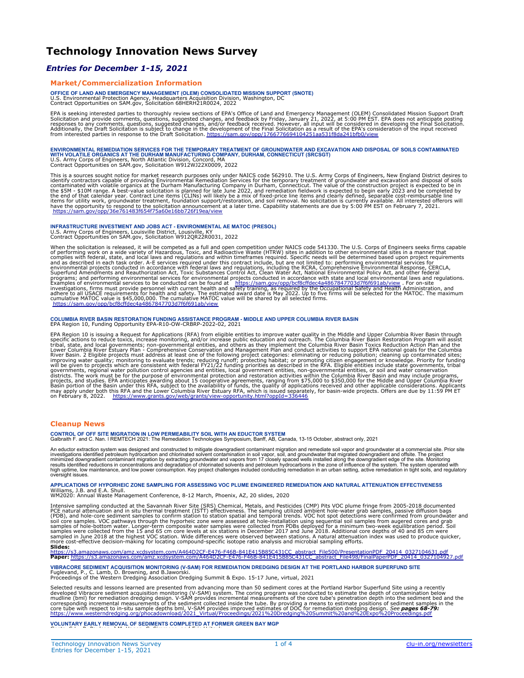### **Technology Innovation News Survey**

### *Entries for December 1-15, 2021*

### **Market/Commercialization Information**

**OFFICE OF LAND AND EMERGENCY MANAGEMENT (OLEM) CONSOLIDATED MISSION SUPPORT (SNOTE)** U.S. Environmental Protection Agency, Headquarters Acquisition Division, Washington, DC Contract Opportunities on SAM.gov, Solicitation 68HERH21R0024, 2022

EPA is seeking interested parties to thoroughly review sections of EPA's Office of Land and Emergency Management (OLEM) Consolidated Mission Support Draft<br>Solicitation and provide comments, questions, suggested changes, an

ENVIRONMENTAL REMEDIATION SERVICES FOR THE TEMPORARY TREATMENT OF GROUNDWATER AND EXCAVATION AND DISPOSAL OF SOILS CONTAMINATED<br>WITH VOLATILE ORGANICS AT THE DURHAM MANUFACTURING COMPANY, DURHAM, CONNECTICUT (SRCSGT)<br>U.S.

This is a sources sought notice for market research purposes only under NAICS code 562910. The U.S. Army Corps of Enginers, New Engind District desires to<br>identify contractors capable of providing Environmental Remediation <https://sam.gov/opp/36e761483f654f75a60e16bb726f19ea/view>

## **INFRASTRUCTURE INVESTMENT AND JOBS ACT - ENVIRONMENTAL AE MATOC (PRESOL)<br>U.S. Army Corps of Engineers, Louisville District, Lousiville, KY<br>Contract Opportunities on SAM.gov, Solicitation W912QR22R0031, 2022**

When the solicitation is released, it will be competed as a full and open competition under NAICS code 541330. The U.S. Corps of Engineers seeks firms capable<br>of performing work on a wide variety of Hazardous, Toxic, and R

### **COLUMBIA RIVER BASIN RESTORATION FUNDING ASSISTANCE PROGRAM - MIDDLE AND UPPER COLUMBIA RIVER BASIN** EPA Region 10, Funding Opportunity EPA-R10-OW-CRBRP-2022-02, 2021

EPA Region 10 is issuing a Request for Applications (RFA) from eligible entities to improve water quality in the Middle and Upper Columbia River Basin through<br>specific actions to reduce toxics, increase monitoring, and/or

### **Cleanup News**

#### **CONTROL OF OFF SITE MIGRATION IN LOW PERMEABILITY SOIL WITH AN EDUCTOR SYSTEM**

Galbraith F. and C. Nan. ǀ REMTECH 2021: The Remediation Technologies Symposium, Banff, AB, Canada, 13-15 October, abstract only, 2021

An eductor extraction system was designed and constructed to mitigate downgradient contaminant migration and remediate soil vapor and remediate solid vapor and groundwater at a commercial site. Prior site<br>investigations id oversight issues.

APPLICATIONS OF HYPORHEIC ZONE SAMPLING FOR ASSESSING VOC PLUME ENGINEERED REMEDIATION AND NATURAL ATTENUATION EFFECTIVENESS<br>Williams, J.B. and E.A. Shull.<br>WM2020: Annual Waste Management Conference, 8-12 March, Phoenix, A

Intensive sampling conducted at the Savannah River Site (SRS) Chemical, Metals, and Pesticides (CMP) Pits VOC plume fringe from 2005-2018 documented<br>PCE natural attenuation and in situ thermal treatment (ISTT) effectivenes

**Slides:** 

[https://s3.amazonaws.com/amz.xcdsystem.com/A464D2CF-E476-F46B-841E415B85C431CC\\_abstract\\_File500/PresentationPDF\\_20414\\_0327104631.pdf](https://s3.amazonaws.com/amz.xcdsystem.com/A464D2CF-E476-F46B-841E415B85C431CC_abstract_File500/PresentationPDF_20414_0327104631.pdf)<br>**Paper:** <u>https://s3.amazonaws.com/amz.xcdsystem.com/A464D2CF-E476-F46B-841E415B85C431CC\_</u>

**VIBRACORE SEDIMENT ACQUISITION MONITORING (V-SAM) FOR REMEDIATION DREDGING DESIGN AT THE PORTLAND HARBOR SUPERFUND SITE** Fuglevand, P., C. Lamb, D. Browning, and B.Jaworski. Proceedings of the Western Dredging Association Dredging Summit & Expo. 15-17 June, virtual, 2021

Selected results and lessons learned are presented from advancing more than 50 sediment cores at the Portland Harbor Superfund Site using a recently<br>developed Vibracore sediment acquisition monitoring (V-SAM) system. The c

#### **VOLUNTARY EARLY REMOVAL OF SEDIMENTS COMPLETED AT FORMER GREEN BAY MGP** Goetz, S.L., R. Paulson, J.M. Hagen, C. Simmons, and Eric Hritsuk.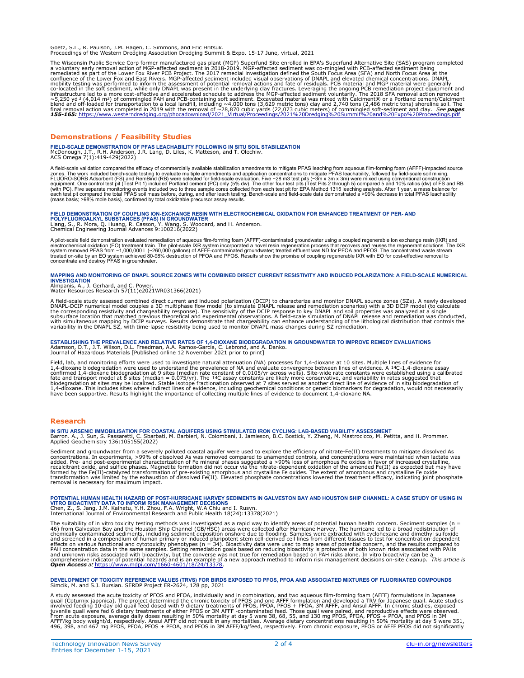Goetz, S.L., R. Paulson, J.M. Hagen, C. Simmons, and Eric Hritsuk. Proceedings of the Western Dredging Association Dredging Summit & Expo. 15-17 June, virtual, 2021

The Wisconsin Public Service Corp former manufactured gas plant (MGP) Superfund Site enrolled in EPA's Superfund Alternative Site (SAS) program completed<br>a voluntary early removal action of MGP-affected sediment in 2018-20

### **Demonstrations / Feasibility Studies**

**FIELD-SCALE DEMONSTRATION OF PFAS LEACHABILITY FOLLOWING IN SITU SOIL STABILIZATION** McDonough, J.T., R.H. Anderson, J.R. Lang, D. Liles, K. Matteson, and T. Olechiw. ACS Omega 7(1):419-429(2022)

A field-scale validation compared the efficacy of commercially available stabilization amendments to mitigate PFAS leachability, followed by field-scale scill mixing.<br>A field-scale validation compared the efficacy of comme

# FIELD DEMONSTRATION OF COUPLING ION-EXCHANGE RESIN WITH ELECTROCHEMICAL OXIDATION FOR ENHANCED TREATMENT OF PER- AND<br>POLYFLUOROALKYL SUBSTANCES (PFAS) IN GROUNDWATER<br>Liang, S., R. Mora, Q. Huang, R. Casson, Y. Wang, S. Woo

A pilot-scale field demonstration evaluated remediation of aqueous film-forming foam (AFFF)-contaminated groundwater using a coupled regenerable ion exchange resin (IKR) and<br>electrochemical oxidation (EO) treatment train.

## MAPPING AND MONITORING OF DNAPL SOURCE ZONES WITH COMBINED DIRECT CURRENT RESISTIVITY AND INDUCED POLARIZATION: A FIELD-SCALE NUMERICAL<br>INVESTIGATION<br>Almpanis, A., J. Gerhard, and C. Power.<br>Water Resources Research 57(11)e

A field-scale study assessed combined direct current and induced polarization (DCIP) to characterize and monitor DNAPL source zones (SZs). A newly developed<br>DNAPL-DCIP numerical model couples a 3D multiphase flow model (to

### ESTABLISHING THE PREVALENCE AND RELATIVE RATES OF 1,4-DIOXANE BIODEGRADATION IN GROUNDWATER TO IMPROVE REMEDY EVALUATIONS<br>Adamson, D.T., J.T. Wilson, D.L. Freedman, A.A. Ramos-García, C. Lebrond, and A. Danko.<br>Journal of H

Field, lab, and monitoring efforts were used to investigate natural attenuation (NA) processes for 1,4-dioxane at 10 sites. Multiple lines of evidence for 1,4-dioxane biodegradation were used to understand the prevalence o

### **Research**

IN SITU ARSENIC IMMOBILISATION FOR COASTAL AQUIFERS USING STIMULATED IRON CYCLING: LAB-BASED VIABILITY ASSESSMENT<br>Barron. A., J. Sun, S. Passaretti, C. Sbarbati, M. Barbieri, N. Colombani, J. Jamieson, B.C. Bostick, Y. Zhe

Sediment and groundwater from a severely polluted coastal aquifer were used to explore the efficiency of nitrate-Fe(II) treatments to mitigate dissolved As was removed compared to unamended controls, and concentrations wer

## POTENTIAL HUMAN HEALTH HAZARD OF POST-HURRICANE HARVEY SEDIMENTS IN GALVESTON BAY AND HOUSTON SHIP CHANNEL: A CASE STUDY OF USING IN<br>VITRO BIOACTIVITY DATA TO INFORM RISK MANAGEMENT DECISIONS<br>Chen, Z., S. Jang, J.M. Kaihat

The suitability of in vitro toxicity testing methods was investigated as a rapid way to identify areas of potential human health concern. Sediment samples (n = 46) from Galveston Bay and the Houston Ship Channel (GB/HSC) a

**DEVELOPMENT OF TOXICITY REFERENCE VALUES (TRVS) FOR BIRDS EXPOSED TO PFOS, PFOA AND ASSOCIATED MIXTURES OF FLUORINATED COMPOUNDS** Simcik, M. and S.J. Bursian. SERDP Project ER-2624, 128 pp, 2021

A study assessed the acute toxicity of PFOS and PFOA, individually and in combination, and two aqueous film-forming foam (AFFF) formulations in Japanese quail. Acute studies<br>involved feeding 10-day old quail feed dosed wit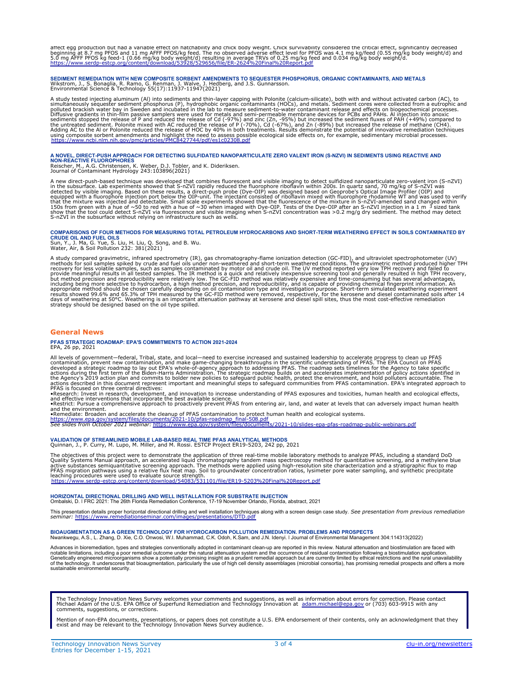affect egg production but had a variable effect on hatchability and chick body weight. Chick survivability considered the critical effect, significantly decreased<br>beginning at 8.7 mg PFOS and 11 mg AFFF PFOS/kg feed. The n

### SEDIMENT REMEDIATION WITH NEW COMPOSITE SORBENT AMENDMENTS TO SEQUESTER PHOSPHORUS, ORGANIC CONTAMINANTS, AND METALS<br>Wikstrom, J., S. Bonaglia, R. Ramo, G. Renman, J. Walve, J. Hedberg, and J.S. Gunnarsson.<br>Environmental S

A study tested injecting aluminum (Al) into sediments and thin-layer capping with Polonite (calcium-silicate), both with and without activated carbon (AC), to<br>simultaneously sequester sediment phosphorus (P), hydrophobic o

# A NOVEL, DIRECT-PUSH APPROACH FOR DETECTING SULFIDATED NANOPARTICULATE ZERO VALENT IRON (S-NZVI) IN SEDIMENTS USING REACTIVE AND<br>NON-REACTIVE FLUOROPHORES<br>Reischer, M., A.G. Christensen, K. Weber, D.J. Tobler, and K. Dider

A new direct-push-based technique was developed that combines fluorescent and visible imaging to detect sufidized nanoparticulate zero-valent iron (S-nZVI) in the subsurface. Lab experiments showed that S-nZYU are detecte

# COMPARISONS OF FOUR METHODS FOR MEASURING TOTAL PETROLEUM HYDROCARBONS AND SHORT-TERM WEATHERING EFFECT IN SOILS CONTAMINATED BY<br>CRUDE OIL AND FUEL OILS<br>Sun, Y., J. Ma, G. Yue, S. Liu, H. Liu, Q. Song, and B. Wu.<br>Water, Ai

A study compared gravimetric, infrared spectrometry (IR), gas chromatography-flame ionization detection (GC-FID), and ultraviolet spectrometric method produced higher methods for soil samples spiked by crude and fuel oils

### **General News**

#### **PFAS STRATEGIC ROADMAP: EPA'S COMMITMENTS TO ACTION 2021-2024** EPA, 26 pp, 2021

All levels of government—federal, Tribal, state, and local—need to exercise increased and sustained leadership to accelerate progress to clean up PFAS<br>contamination, prevent new contamination, and make game-changing breakt

[https://www.epa.gov/system/files/documents/2021-10/pfas-roadmap\\_final-508.pdf](https://www.epa.gov/system/files/documents/2021-10/pfas-roadmap_final-508.pdf) *See slides from October 2021 webinar:* <https://www.epa.gov/system/files/documents/2021-10/slides-epa-pfas-roadmap-public-webinars.pdf>

### **VALIDATION OF STREAMLINED MOBILE LAB-BASED REAL TIME PFAS ANALYTICAL METHODS** Quinnan, J., P. Curry, M. Lupo, M. Miller, and M. Rossi. ESTCP Project ER19-5203, 242 pp, 2021

The objectives of this project were to demonstrate the application of three real-time mobile laboratory methods to analyze PFAS, including a standard DoD<br>Quality Systems Manual approach, an accelerated liquid chromatograph

**HORIZONTAL DIRECTIONAL DRILLING AND WELL INSTALLATION FOR SUBSTRATE INJECTION** Ombalski, D. ǀ FRC 2021: The 26th Florida Remediation Conference, 17-19 November Orlando, Florida, abstract, 2021

This presentation details proper horizontal directional drilling and well installation techniques along with a screen design case study. *See presentation from previous remediation*<br>*seminar: <u>https://www.remediationsemina*</u>

**BIOAUGMENTATION AS A GREEN TECHNOLOGY FOR HYDROCARBON POLLUTION REMEDIATION. PROBLEMS AND PROSPECTS** Nwankwegu, A.S., L. Zhang, D. Xie, C.O. Onwosi, W.I. Muhammad, C.K. Odoh, K.Sam, and J.N. Idenyi. ǀ Journal of Environmental Management 304:114313(2022)

Advances in bioremediation, types and strategies conventionally adopted in contaminant clean-up are reported in this review. Natural attenuation and biostimulation and biostimulation application.<br>Ordable limitations, inclu

The Technology Innovation News Survey welcomes your comments and suggestions, as well as information about errors for correction. Please contact<br>Michael Adam of the U.S. EPA Office of Superfund Remediation and Technology I comments, suggestions, or corrections.

Mention of non-EPA documents, presentations, or papers does not constitute a U.S. EPA endorsement of their contents, only an acknowledgment that they<br>exist and may be relevant to the Technology Innovation News Survey audie